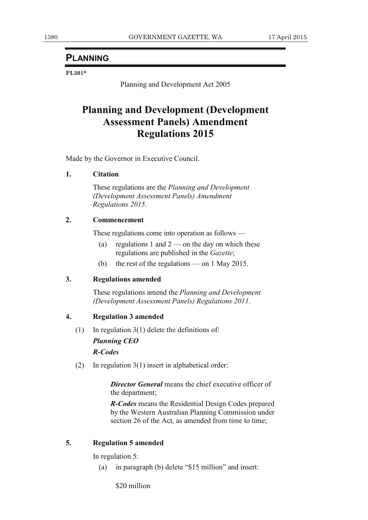# **PLANNING**

#### **PL301\***

Planning and Development Act 2005

# **Planning and Development (Development Assessment Panels) Amendment Regulations 2015**

Made by the Governor in Executive Council.

## **1. Citation**

 These regulations are the *Planning and Development (Development Assessment Panels) Amendment Regulations 2015*.

## **2. Commencement**

These regulations come into operation as follows —

- (a) regulations 1 and  $2$  on the day on which these regulations are published in the *Gazette*;
- (b) the rest of the regulations on 1 May 2015.

#### **3. Regulations amended**

 These regulations amend the *Planning and Development (Development Assessment Panels) Regulations 2011*.

## **4. Regulation 3 amended**

- (1) In regulation  $3(1)$  delete the definitions of: *Planning CEO R-Codes*
- (2) In regulation 3(1) insert in alphabetical order:

*Director General* means the chief executive officer of the department;

*R-Codes* means the Residential Design Codes prepared by the Western Australian Planning Commission under section 26 of the Act, as amended from time to time;

# **5. Regulation 5 amended**

In regulation 5:

(a) in paragraph (b) delete "\$15 million" and insert:

\$20 million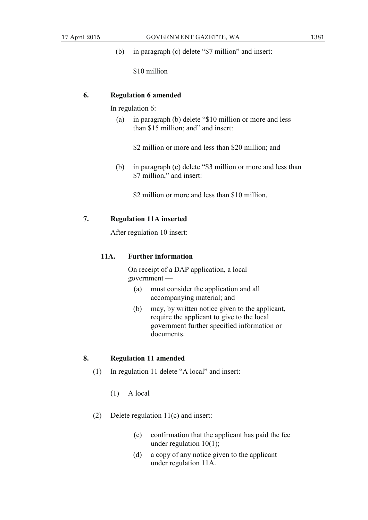(b) in paragraph (c) delete "\$7 million" and insert:

\$10 million

#### **6. Regulation 6 amended**

In regulation 6:

 (a) in paragraph (b) delete "\$10 million or more and less than \$15 million; and" and insert:

\$2 million or more and less than \$20 million; and

 (b) in paragraph (c) delete "\$3 million or more and less than \$7 million," and insert:

\$2 million or more and less than \$10 million,

## **7. Regulation 11A inserted**

After regulation 10 insert:

## **11A. Further information**

 On receipt of a DAP application, a local government —

- (a) must consider the application and all accompanying material; and
- (b) may, by written notice given to the applicant, require the applicant to give to the local government further specified information or documents.

## **8. Regulation 11 amended**

- (1) In regulation 11 delete "A local" and insert:
	- (1) A local
- (2) Delete regulation 11(c) and insert:
	- (c) confirmation that the applicant has paid the fee under regulation  $10(1)$ ;
	- (d) a copy of any notice given to the applicant under regulation 11A.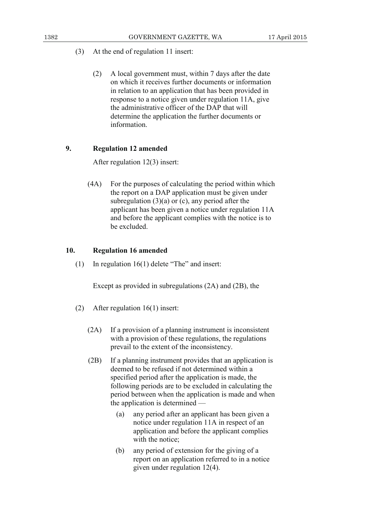- (3) At the end of regulation 11 insert:
	- (2) A local government must, within 7 days after the date on which it receives further documents or information in relation to an application that has been provided in response to a notice given under regulation 11A, give the administrative officer of the DAP that will determine the application the further documents or information.

## **9. Regulation 12 amended**

After regulation 12(3) insert:

 (4A) For the purposes of calculating the period within which the report on a DAP application must be given under subregulation  $(3)(a)$  or  $(c)$ , any period after the applicant has been given a notice under regulation 11A and before the applicant complies with the notice is to be excluded.

## **10. Regulation 16 amended**

(1) In regulation 16(1) delete "The" and insert:

Except as provided in subregulations (2A) and (2B), the

- (2) After regulation 16(1) insert:
	- (2A) If a provision of a planning instrument is inconsistent with a provision of these regulations, the regulations prevail to the extent of the inconsistency.
	- (2B) If a planning instrument provides that an application is deemed to be refused if not determined within a specified period after the application is made, the following periods are to be excluded in calculating the period between when the application is made and when the application is determined —
		- (a) any period after an applicant has been given a notice under regulation 11A in respect of an application and before the applicant complies with the notice;
		- (b) any period of extension for the giving of a report on an application referred to in a notice given under regulation 12(4).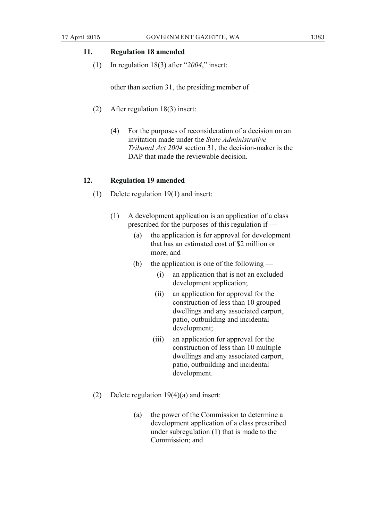## **11. Regulation 18 amended**

(1) In regulation 18(3) after "*2004*," insert:

other than section 31, the presiding member of

- (2) After regulation 18(3) insert:
	- (4) For the purposes of reconsideration of a decision on an invitation made under the *State Administrative Tribunal Act 2004* section 31, the decision-maker is the DAP that made the reviewable decision.

#### **12. Regulation 19 amended**

- (1) Delete regulation 19(1) and insert:
	- (1) A development application is an application of a class prescribed for the purposes of this regulation if —
		- (a) the application is for approval for development that has an estimated cost of \$2 million or more; and
		- (b) the application is one of the following
			- (i) an application that is not an excluded development application;
			- (ii) an application for approval for the construction of less than 10 grouped dwellings and any associated carport, patio, outbuilding and incidental development;
			- (iii) an application for approval for the construction of less than 10 multiple dwellings and any associated carport, patio, outbuilding and incidental development.
- (2) Delete regulation 19(4)(a) and insert:
	- (a) the power of the Commission to determine a development application of a class prescribed under subregulation (1) that is made to the Commission; and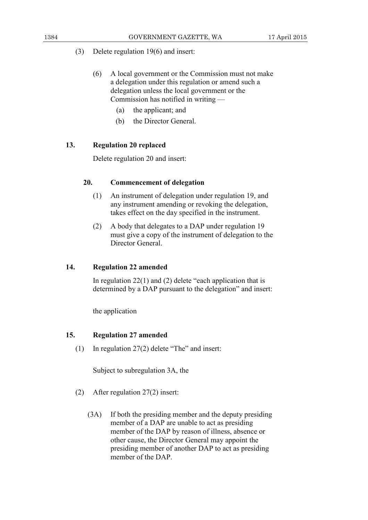- (3) Delete regulation 19(6) and insert:
	- (6) A local government or the Commission must not make a delegation under this regulation or amend such a delegation unless the local government or the Commission has notified in writing —
		- (a) the applicant; and
		- (b) the Director General.

# **13. Regulation 20 replaced**

Delete regulation 20 and insert:

# **20. Commencement of delegation**

- (1) An instrument of delegation under regulation 19, and any instrument amending or revoking the delegation, takes effect on the day specified in the instrument.
- (2) A body that delegates to a DAP under regulation 19 must give a copy of the instrument of delegation to the Director General.

## **14. Regulation 22 amended**

In regulation  $22(1)$  and  $(2)$  delete "each application that is determined by a DAP pursuant to the delegation" and insert:

the application

## **15. Regulation 27 amended**

(1) In regulation 27(2) delete "The" and insert:

Subject to subregulation 3A, the

- (2) After regulation 27(2) insert:
	- (3A) If both the presiding member and the deputy presiding member of a DAP are unable to act as presiding member of the DAP by reason of illness, absence or other cause, the Director General may appoint the presiding member of another DAP to act as presiding member of the DAP.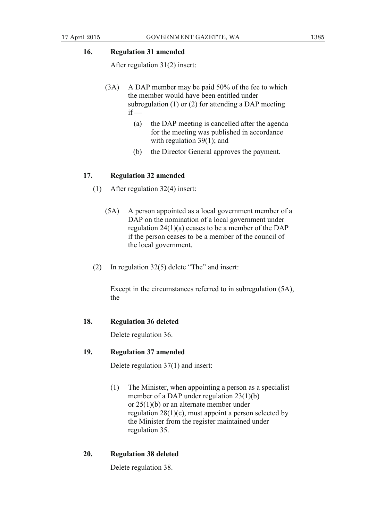## **16. Regulation 31 amended**

After regulation 31(2) insert:

- (3A) A DAP member may be paid 50% of the fee to which the member would have been entitled under subregulation (1) or (2) for attending a DAP meeting  $if -$ 
	- (a) the DAP meeting is cancelled after the agenda for the meeting was published in accordance with regulation 39(1); and
	- (b) the Director General approves the payment.

#### **17. Regulation 32 amended**

- (1) After regulation 32(4) insert:
	- (5A) A person appointed as a local government member of a DAP on the nomination of a local government under regulation 24(1)(a) ceases to be a member of the DAP if the person ceases to be a member of the council of the local government.
- (2) In regulation 32(5) delete "The" and insert:

 Except in the circumstances referred to in subregulation (5A), the

## **18. Regulation 36 deleted**

Delete regulation 36.

#### **19. Regulation 37 amended**

Delete regulation 37(1) and insert:

 (1) The Minister, when appointing a person as a specialist member of a DAP under regulation 23(1)(b) or 25(1)(b) or an alternate member under regulation  $28(1)(c)$ , must appoint a person selected by the Minister from the register maintained under regulation 35.

#### **20. Regulation 38 deleted**

Delete regulation 38.